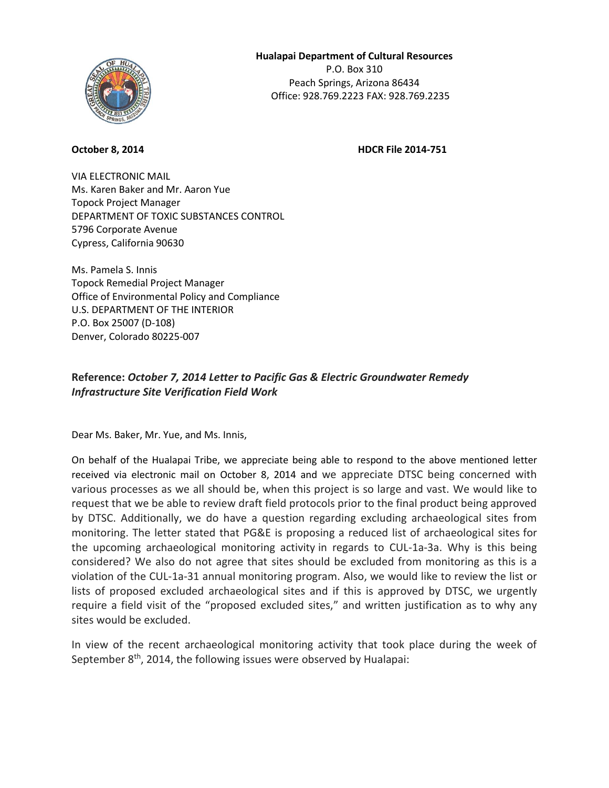

**October 8, 2014 HDCR File 2014-751** 

VIA ELECTRONIC MAIL Ms. Karen Baker and Mr. Aaron Yue Topock Project Manager DEPARTMENT OF TOXIC SUBSTANCES CONTROL 5796 Corporate Avenue Cypress, California 90630

Ms. Pamela S. Innis Topock Remedial Project Manager Office of Environmental Policy and Compliance U.S. DEPARTMENT OF THE INTERIOR P.O. Box 25007 (D-108) Denver, Colorado 80225-007

## **Reference:** *October 7, 2014 Letter to Pacific Gas & Electric Groundwater Remedy Infrastructure Site Verification Field Work*

Dear Ms. Baker, Mr. Yue, and Ms. Innis,

On behalf of the Hualapai Tribe, we appreciate being able to respond to the above mentioned letter received via electronic mail on October 8, 2014 and we appreciate DTSC being concerned with various processes as we all should be, when this project is so large and vast. We would like to request that we be able to review draft field protocols prior to the final product being approved by DTSC. Additionally, we do have a question regarding excluding archaeological sites from monitoring. The letter stated that PG&E is proposing a reduced list of archaeological sites for the upcoming archaeological monitoring activity in regards to CUL-1a-3a. Why is this being considered? We also do not agree that sites should be excluded from monitoring as this is a violation of the CUL-1a-31 annual monitoring program. Also, we would like to review the list or lists of proposed excluded archaeological sites and if this is approved by DTSC, we urgently require a field visit of the "proposed excluded sites," and written justification as to why any sites would be excluded.

In view of the recent archaeological monitoring activity that took place during the week of September 8<sup>th</sup>, 2014, the following issues were observed by Hualapai: